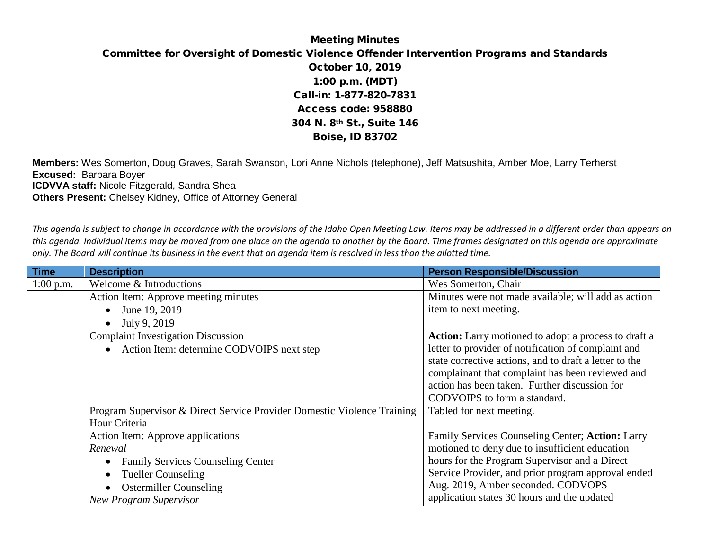## Meeting Minutes Committee for Oversight of Domestic Violence Offender Intervention Programs and Standards October 10, 2019 1:00 p.m. (MDT) Call-in: 1-877-820-7831 Access code: 958880 304 N. 8th St., Suite 146 Boise, ID 83702

**Members:** Wes Somerton, Doug Graves, Sarah Swanson, Lori Anne Nichols (telephone), Jeff Matsushita, Amber Moe, Larry Terherst **Excused:** Barbara Boyer **ICDVVA staff:** Nicole Fitzgerald, Sandra Shea **Others Present:** Chelsey Kidney, Office of Attorney General

*This agenda is subject to change in accordance with the provisions of the Idaho Open Meeting Law. Items may be addressed in a different order than appears on this agenda. Individual items may be moved from one place on the agenda to another by the Board. Time frames designated on this agenda are approximate only. The Board will continue its business in the event that an agenda item is resolved in less than the allotted time.*

| <b>Time</b> | <b>Description</b>                                                      | <b>Person Responsible/Discussion</b>                   |
|-------------|-------------------------------------------------------------------------|--------------------------------------------------------|
| $1:00$ p.m. | Welcome & Introductions                                                 | Wes Somerton, Chair                                    |
|             | Action Item: Approve meeting minutes                                    | Minutes were not made available; will add as action    |
|             | June 19, 2019<br>$\bullet$                                              | item to next meeting.                                  |
|             | July 9, 2019<br>$\bullet$                                               |                                                        |
|             | <b>Complaint Investigation Discussion</b>                               | Action: Larry motioned to adopt a process to draft a   |
|             | Action Item: determine CODVOIPS next step<br>$\bullet$                  | letter to provider of notification of complaint and    |
|             |                                                                         | state corrective actions, and to draft a letter to the |
|             |                                                                         | complainant that complaint has been reviewed and       |
|             |                                                                         | action has been taken. Further discussion for          |
|             |                                                                         | CODVOIPS to form a standard.                           |
|             | Program Supervisor & Direct Service Provider Domestic Violence Training | Tabled for next meeting.                               |
|             | Hour Criteria                                                           |                                                        |
|             | Action Item: Approve applications                                       | Family Services Counseling Center; Action: Larry       |
|             | Renewal                                                                 | motioned to deny due to insufficient education         |
|             | <b>Family Services Counseling Center</b>                                | hours for the Program Supervisor and a Direct          |
|             | <b>Tueller Counseling</b>                                               | Service Provider, and prior program approval ended     |
|             | <b>Ostermiller Counseling</b>                                           | Aug. 2019, Amber seconded. CODVOPS                     |
|             | <b>New Program Supervisor</b>                                           | application states 30 hours and the updated            |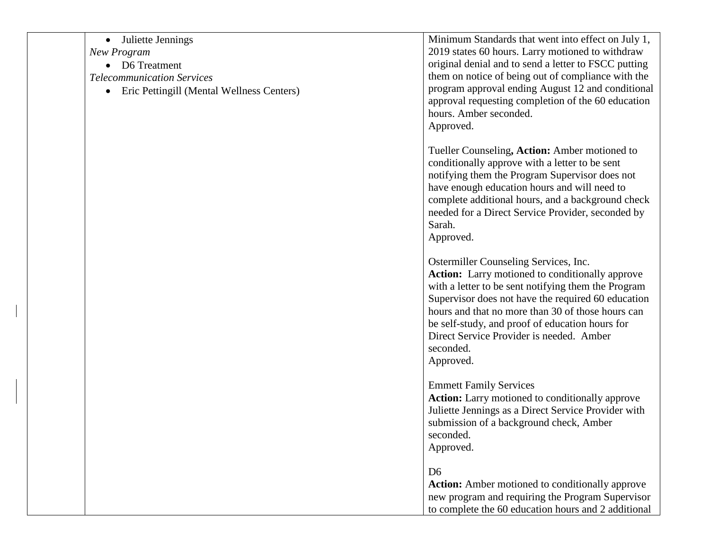| $\bullet$ | Juliette Jennings                         | Minimum Standards that went into effect on July 1,     |
|-----------|-------------------------------------------|--------------------------------------------------------|
|           | New Program                               | 2019 states 60 hours. Larry motioned to withdraw       |
|           | D6 Treatment                              | original denial and to send a letter to FSCC putting   |
|           | <b>Telecommunication Services</b>         | them on notice of being out of compliance with the     |
| $\bullet$ | Eric Pettingill (Mental Wellness Centers) | program approval ending August 12 and conditional      |
|           |                                           | approval requesting completion of the 60 education     |
|           |                                           | hours. Amber seconded.                                 |
|           |                                           | Approved.                                              |
|           |                                           | Tueller Counseling, Action: Amber motioned to          |
|           |                                           | conditionally approve with a letter to be sent         |
|           |                                           | notifying them the Program Supervisor does not         |
|           |                                           | have enough education hours and will need to           |
|           |                                           | complete additional hours, and a background check      |
|           |                                           | needed for a Direct Service Provider, seconded by      |
|           |                                           | Sarah.                                                 |
|           |                                           | Approved.                                              |
|           |                                           |                                                        |
|           |                                           | Ostermiller Counseling Services, Inc.                  |
|           |                                           | <b>Action:</b> Larry motioned to conditionally approve |
|           |                                           | with a letter to be sent notifying them the Program    |
|           |                                           | Supervisor does not have the required 60 education     |
|           |                                           | hours and that no more than 30 of those hours can      |
|           |                                           | be self-study, and proof of education hours for        |
|           |                                           | Direct Service Provider is needed. Amber               |
|           |                                           | seconded.                                              |
|           |                                           | Approved.                                              |
|           |                                           | <b>Emmett Family Services</b>                          |
|           |                                           | <b>Action:</b> Larry motioned to conditionally approve |
|           |                                           | Juliette Jennings as a Direct Service Provider with    |
|           |                                           | submission of a background check, Amber                |
|           |                                           | seconded.                                              |
|           |                                           | Approved.                                              |
|           |                                           |                                                        |
|           |                                           | D <sub>6</sub>                                         |
|           |                                           | <b>Action:</b> Amber motioned to conditionally approve |
|           |                                           | new program and requiring the Program Supervisor       |
|           |                                           | to complete the 60 education hours and 2 additional    |